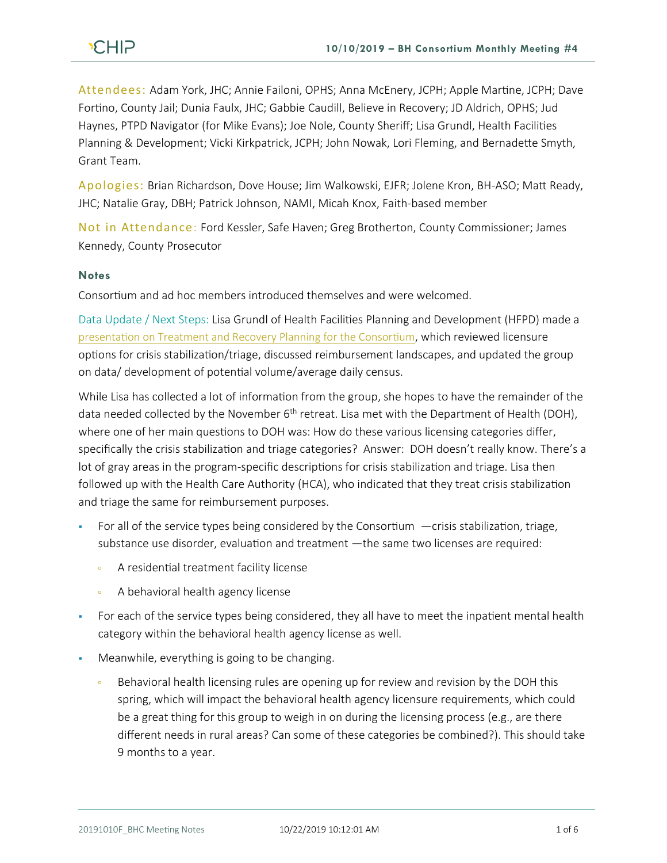Attendees: Adam York, JHC; Annie Failoni, OPHS; Anna McEnery, JCPH; Apple Martine, JCPH; Dave Fortino, County Jail; Dunia Faulx, JHC; Gabbie Caudill, Believe in Recovery; JD Aldrich, OPHS; Jud Haynes, PTPD Navigator (for Mike Evans); Joe Nole, County Sheriff; Lisa Grundl, Health Facilities Planning & Development; Vicki Kirkpatrick, JCPH; John Nowak, Lori Fleming, and Bernadette Smyth, Grant Team.

Apologies: Brian Richardson, Dove House; Jim Walkowski, EJFR; Jolene Kron, BH-ASO; Matt Ready, JHC; Natalie Gray, DBH; Patrick Johnson, NAMI, Micah Knox, Faith-based member

Not in Attendance: Ford Kessler, Safe Haven; Greg Brotherton, County Commissioner; James Kennedy, County Prosecutor

## **Notes**

Consortium and ad hoc members introduced themselves and were welcomed.

Data Update / Next Steps: Lisa Grundl of Health Facilities Planning and Development (HFPD) made a [presentation on Treatment and Recovery Planning for the Consortium](https://docs.wixstatic.com/ugd/2fdcdd_38fb42671a6a434e98315e0c61d6845d.pdf), which reviewed licensure options for crisis stabilization/triage, discussed reimbursement landscapes, and updated the group on data/ development of potential volume/average daily census.

While Lisa has collected a lot of information from the group, she hopes to have the remainder of the data needed collected by the November 6<sup>th</sup> retreat. Lisa met with the Department of Health (DOH), where one of her main questions to DOH was: How do these various licensing categories differ, specifically the crisis stabilization and triage categories? Answer: DOH doesn't really know. There's a lot of gray areas in the program-specific descriptions for crisis stabilization and triage. Lisa then followed up with the Health Care Authority (HCA), who indicated that they treat crisis stabilization and triage the same for reimbursement purposes.

- For all of the service types being considered by the Consortium  $-$ crisis stabilization, triage, substance use disorder, evaluation and treatment —the same two licenses are required:
	- **A** residential treatment facility license
	- **A** behavioral health agency license
- **•** For each of the service types being considered, they all have to meet the inpatient mental health category within the behavioral health agency license as well.
- Meanwhile, everything is going to be changing.
	- Behavioral health licensing rules are opening up for review and revision by the DOH this spring, which will impact the behavioral health agency licensure requirements, which could be a great thing for this group to weigh in on during the licensing process (e.g., are there different needs in rural areas? Can some of these categories be combined?). This should take 9 months to a year.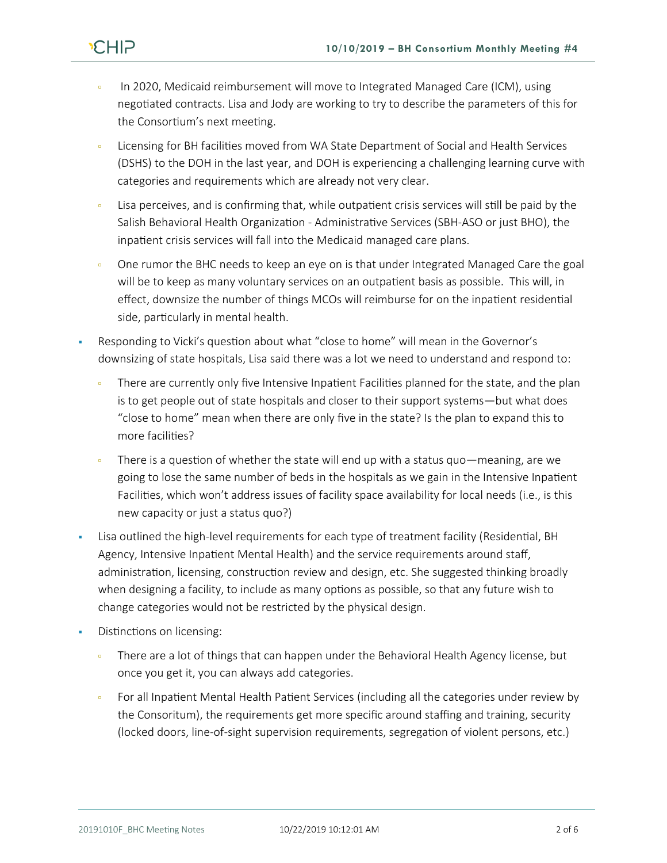- In 2020, Medicaid reimbursement will move to Integrated Managed Care (ICM), using negotiated contracts. Lisa and Jody are working to try to describe the parameters of this for the Consortium's next meeting.
- Licensing for BH facilities moved from WA State Department of Social and Health Services (DSHS) to the DOH in the last year, and DOH is experiencing a challenging learning curve with categories and requirements which are already not very clear.
- Lisa perceives, and is confirming that, while outpatient crisis services will still be paid by the Salish Behavioral Health Organization - Administrative Services (SBH-ASO or just BHO), the inpatient crisis services will fall into the Medicaid managed care plans.
- One rumor the BHC needs to keep an eye on is that under Integrated Managed Care the goal will be to keep as many voluntary services on an outpatient basis as possible. This will, in effect, downsize the number of things MCOs will reimburse for on the inpatient residential side, particularly in mental health.
- Responding to Vicki's question about what "close to home" will mean in the Governor's downsizing of state hospitals, Lisa said there was a lot we need to understand and respond to:
	- There are currently only five Intensive Inpatient Facilities planned for the state, and the plan is to get people out of state hospitals and closer to their support systems—but what does "close to home" mean when there are only five in the state? Is the plan to expand this to more facilities?
	- There is a question of whether the state will end up with a status quo—meaning, are we going to lose the same number of beds in the hospitals as we gain in the Intensive Inpatient Facilities, which won't address issues of facility space availability for local needs (i.e., is this new capacity or just a status quo?)
- Lisa outlined the high-level requirements for each type of treatment facility (Residential, BH Agency, Intensive Inpatient Mental Health) and the service requirements around staff, administration, licensing, construction review and design, etc. She suggested thinking broadly when designing a facility, to include as many options as possible, so that any future wish to change categories would not be restricted by the physical design.
- Distinctions on licensing:
	- There are a lot of things that can happen under the Behavioral Health Agency license, but once you get it, you can always add categories.
	- For all Inpatient Mental Health Patient Services (including all the categories under review by the Consoritum), the requirements get more specific around staffing and training, security (locked doors, line-of-sight supervision requirements, segregation of violent persons, etc.)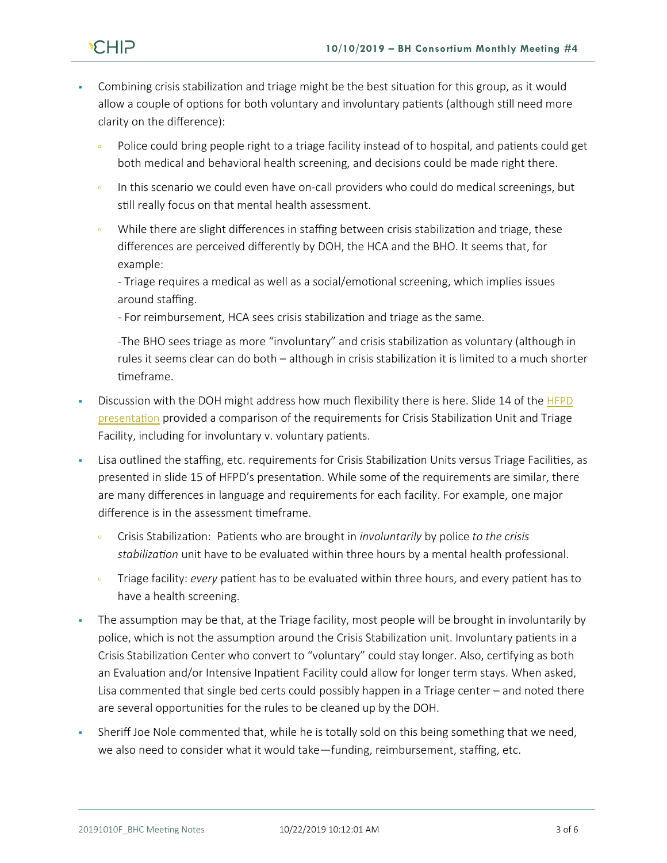

- Combining crisis stabilization and triage might be the best situation for this group, as it would allow a couple of options for both voluntary and involuntary patients (although still need more clarity on the difference):
	- Police could bring people right to a triage facility instead of to hospital, and patients could get both medical and behavioral health screening, and decisions could be made right there.
	- In this scenario we could even have on-call providers who could do medical screenings, but still really focus on that mental health assessment.
	- While there are slight differences in staffing between crisis stabilization and triage, these differences are perceived differently by DOH, the HCA and the BHO. It seems that, for example:

- Triage requires a medical as well as a social/emotional screening, which implies issues around staffing.

- For reimbursement, HCA sees crisis stabilization and triage as the same.

-The BHO sees triage as more "involuntary" and crisis stabilization as voluntary (although in rules it seems clear can do both – although in crisis stabilization it is limited to a much shorter timeframe.

- Discussion with the DOH might address how much flexibility there is here. Slide 14 of the HFPD [presentation](https://docs.wixstatic.com/ugd/2fdcdd_38fb42671a6a434e98315e0c61d6845d.pdf) provided a comparison of the requirements for Crisis Stabilization Unit and Triage Facility, including for involuntary v. voluntary patients.
- Lisa outlined the staffing, etc. requirements for Crisis Stabilization Units versus Triage Facilities, as presented in slide 15 of HFPD's presentation. While some of the requirements are similar, there are many differences in language and requirements for each facility. For example, one major difference is in the assessment timeframe.
	- Crisis Stabilization: Patients who are brought in *involuntarily* by police *to the crisis stabilization* unit have to be evaluated within three hours by a mental health professional.
	- Triage facility: *every* patient has to be evaluated within three hours, and every patient has to have a health screening.
- The assumption may be that, at the Triage facility, most people will be brought in involuntarily by police, which is not the assumption around the Crisis Stabilization unit. Involuntary patients in a Crisis Stabilization Center who convert to "voluntary" could stay longer. Also, certifying as both an Evaluation and/or Intensive Inpatient Facility could allow for longer term stays. When asked, Lisa commented that single bed certs could possibly happen in a Triage center – and noted there are several opportunities for the rules to be cleaned up by the DOH.
- Sheriff Joe Nole commented that, while he is totally sold on this being something that we need, we also need to consider what it would take—funding, reimbursement, staffing, etc.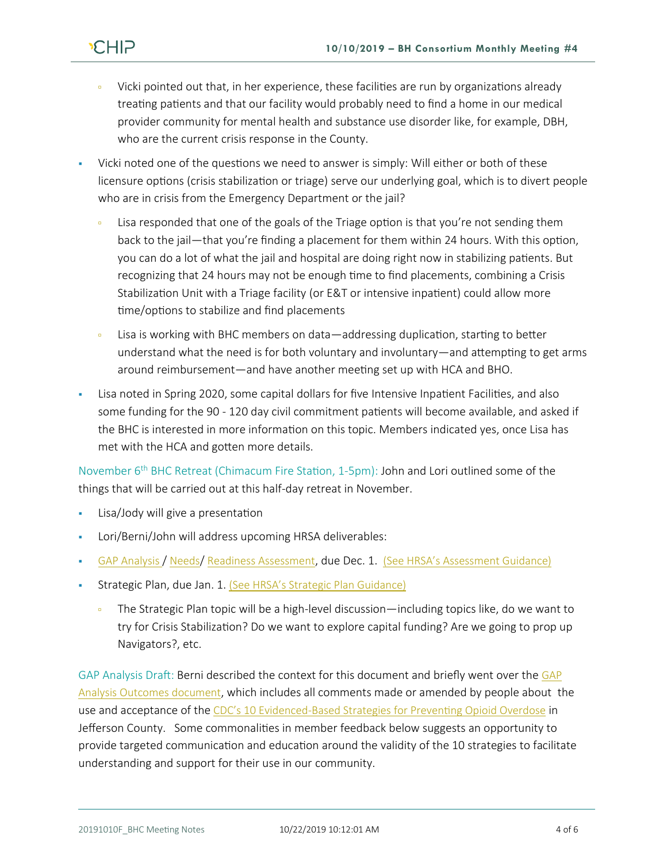- Vicki pointed out that, in her experience, these facilities are run by organizations already treating patients and that our facility would probably need to find a home in our medical provider community for mental health and substance use disorder like, for example, DBH, who are the current crisis response in the County.
- Vicki noted one of the questions we need to answer is simply: Will either or both of these licensure options (crisis stabilization or triage) serve our underlying goal, which is to divert people who are in crisis from the Emergency Department or the jail?
	- Lisa responded that one of the goals of the Triage option is that you're not sending them back to the jail—that you're finding a placement for them within 24 hours. With this option, you can do a lot of what the jail and hospital are doing right now in stabilizing patients. But recognizing that 24 hours may not be enough time to find placements, combining a Crisis Stabilization Unit with a Triage facility (or E&T or intensive inpatient) could allow more time/options to stabilize and find placements
	- Lisa is working with BHC members on data—addressing duplication, starting to better understand what the need is for both voluntary and involuntary—and attempting to get arms around reimbursement—and have another meeting set up with HCA and BHO.
- Lisa noted in Spring 2020, some capital dollars for five Intensive Inpatient Facilities, and also some funding for the 90 - 120 day civil commitment patients will become available, and asked if the BHC is interested in more information on this topic. Members indicated yes, once Lisa has met with the HCA and gotten more details.

November 6<sup>th</sup> BHC Retreat (Chimacum Fire Station, 1-5pm): John and Lori outlined some of the things that will be carried out at this half-day retreat in November.

- Lisa/Jody will give a presentation
- Lori/Berni/John will address upcoming HRSA deliverables:
- [GAP Analysis](https://docs.wixstatic.com/ugd/2fdcdd_709b058a4e514f90ab2bcea001a3631a.pdf) / [Needs](https://docs.wixstatic.com/ugd/2fdcdd_c4d62d85fb7646c4ac4afb95b64aba46.pdf)/ Readiness [Assessment](https://docs.wixstatic.com/ugd/2fdcdd_04af51ad890744b69e6d5d8b05352930.pdf), due Dec. 1. [\(See HRSA's Assessment Guidance\)](https://docs.wixstatic.com/ugd/2fdcdd_dbbf5be303a64675947807f89d07211e.pdf)
- Strategic Plan, due Jan. 1. [\(See HRSA's Strategic Plan Guidance\)](https://docs.wixstatic.com/ugd/2fdcdd_82cf60dfa67246159272edcf6b9946e0.pdf)
	- The Strategic Plan topic will be a high-level discussion—including topics like, do we want to try for Crisis Stabilization? Do we want to explore capital funding? Are we going to prop up Navigators?, etc.

GAP Analysis Draft: Berni described the context for this document and briefly went over the [GAP](https://docs.wixstatic.com/ugd/2fdcdd_709b058a4e514f90ab2bcea001a3631a.pdf)  [Analysis Outcomes document](https://docs.wixstatic.com/ugd/2fdcdd_709b058a4e514f90ab2bcea001a3631a.pdf), which includes all comments made or amended by people about the use and acceptance of the [CDC's 10 Evidenced-Based Strategies for Preventing Opioid Overdose](https://docs.wixstatic.com/ugd/2fdcdd_fc686a55656a4aa5aea2010f28701eba.pdf) in Jefferson County. Some commonalities in member feedback below suggests an opportunity to provide targeted communication and education around the validity of the 10 strategies to facilitate understanding and support for their use in our community.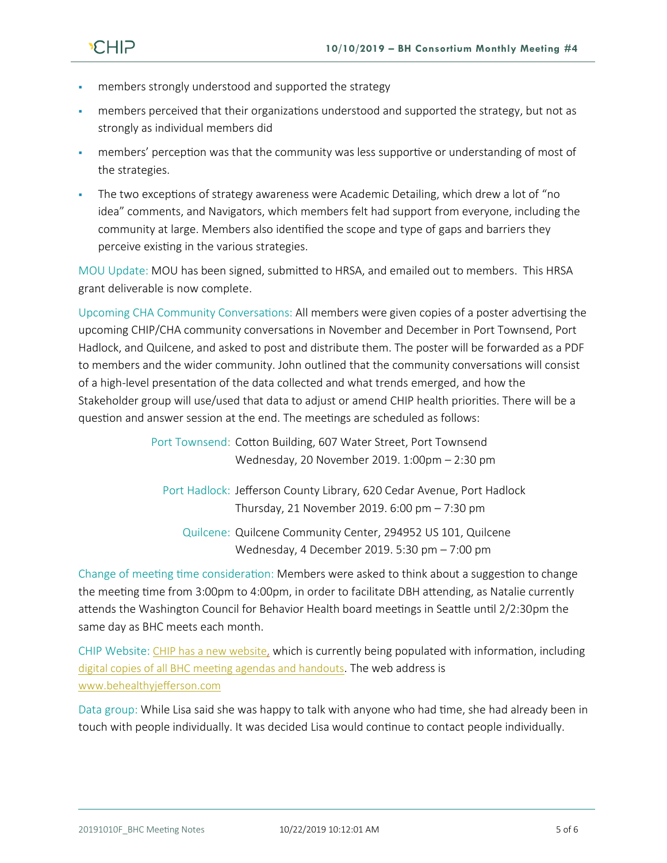

- members strongly understood and supported the strategy
- members perceived that their organizations understood and supported the strategy, but not as strongly as individual members did
- members' perception was that the community was less supportive or understanding of most of the strategies.
- The two exceptions of strategy awareness were Academic Detailing, which drew a lot of "no idea" comments, and Navigators, which members felt had support from everyone, including the community at large. Members also identified the scope and type of gaps and barriers they perceive existing in the various strategies.

MOU Update: MOU has been signed, submitted to HRSA, and emailed out to members. This HRSA grant deliverable is now complete.

Upcoming CHA Community Conversations: All members were given copies of a poster advertising the upcoming CHIP/CHA community conversations in November and December in Port Townsend, Port Hadlock, and Quilcene, and asked to post and distribute them. The poster will be forwarded as a PDF to members and the wider community. John outlined that the community conversations will consist of a high-level presentation of the data collected and what trends emerged, and how the Stakeholder group will use/used that data to adjust or amend CHIP health priorities. There will be a question and answer session at the end. The meetings are scheduled as follows:

> Port Townsend: Cotton Building, 607 Water Street, Port Townsend Wednesday, 20 November 2019. 1:00pm – 2:30 pm

Port Hadlock: Jefferson County Library, 620 Cedar Avenue, Port Hadlock Thursday, 21 November 2019. 6:00 pm – 7:30 pm Quilcene: Quilcene Community Center, 294952 US 101, Quilcene

Wednesday, 4 December 2019. 5:30 pm – 7:00 pm

Change of meeting time consideration: Members were asked to think about a suggestion to change the meeting time from 3:00pm to 4:00pm, in order to facilitate DBH attending, as Natalie currently attends the Washington Council for Behavior Health board meetings in Seattle until 2/2:30pm the same day as BHC meets each month.

CHIP Website: [CHIP has a new website,](https://www.behealthyjefferson.com/) which is currently being populated with information, including [digital copies of all BHC meeting agendas and handouts](https://www.behealthyjefferson.com/copy-of-meeting-minutes). The web address is [www.behealthyjefferson.com](http://www.behealthyjefferson.com/)

Data group: While Lisa said she was happy to talk with anyone who had time, she had already been in touch with people individually. It was decided Lisa would continue to contact people individually.